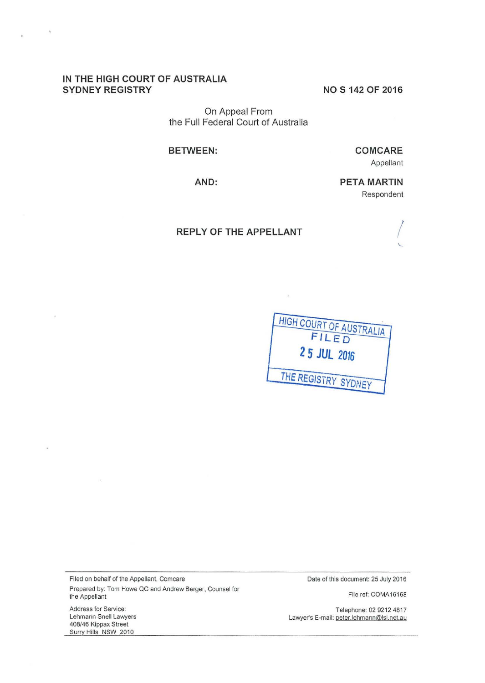# **IN THE HIGH COURT OF AUSTRALIA SYDNEY REGISTRY**

 $\lambda$ 

**NOS 142 OF 2016** 

On Appeal From the Full Federal Court of Australia

#### **BETWEEN:**

**CO M CARE**  Appellant

**AND:** 

**PETA MARTIN**  Respondent

## **REPLY OF THE APPELLANT**



s.

Filed on behalf of the Appellant, Comcare Prepared by: Tom Howe QC and Andrew Berger, Counsel for the Appellant

Address for Service: Lehmann Snell Lawyers 408/46 Kippax Street Surry Hills NSW 2010

Date of this document: 25 July 2016

File ref: COMA16168

Telephone: 02 9212 4817 Lawyer's E-mail: peter.lehmann@lsl.net.au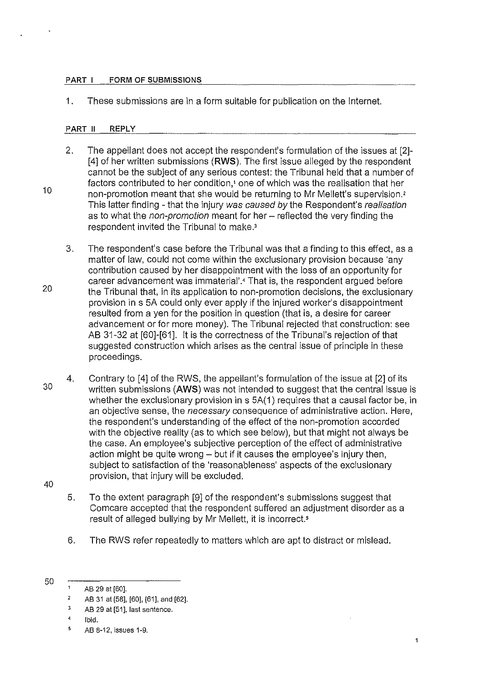#### PART I FORM OF SUBMISSIONS

1. These submissions are in a form suitable for publication on the Internet.

### PART II REPLY

- 2. The appellant does not accept the respondent's formulation of the issues at [2]- [4] of her written submissions **(RWS).** The first issue alleged by the respondent cannot be the subject of any serious contest: the Tribunal held that a number of factors contributed to her condition,' one of which was the realisation that her non-promotion meant that she would be returning to Mr Mellett's supervision.<sup>2</sup> This latter finding - that the injury was caused by the Respondent's realisation as to what the *non-promotion* meant for her - reflected the very finding the respondent invited the Tribunal to make.'
- 3. The respondent's case before the Tribunal was that a finding to this effect, as a matter of law, could not come within the exclusionary provision because 'any contribution caused by her disappointment with the loss of an opportunity for career advancement was immaterial'.' That is, the respondent argued before the Tribunal that, in its application to non-promotion decisions, the exclusionary provision in s 5A could only ever apply if the injured worker's disappointment resulted from a yen for the position in question (that is, a desire for career advancement or for more money). The Tribunal rejected that construction: see AB 31-32 at [60]-[61]. lt is the correctness of the Tribunal's rejection of that suggested construction which arises as the central issue of principle in these proceedings.
- 30 4. Contrary to [4] of the RWS, the appellant's formulation of the issue at [2] of its written submissions **(AWS)** was not intended to suggest that the central issue is whether the exclusionary provision in s 5A(1) requires that a causal factor be, in an objective sense, the necessary consequence of administrative action. Here, the respondent's understanding of the effect of the non-promotion accorded with the objective reality (as to which see below), but that might not always be the case. An employee's subjective perception of the effect of administrative action might be quite wrong- but if it causes the employee's injury then, subject to satisfaction of the 'reasonableness' aspects of the exclusionary provision, that injury will be excluded.
- 40

10

20

- 5. To the extent paragraph [9] of the respondent's submissions suggest that Comcare accepted that the respondent suffered an adjustment disorder as a result of alleged bullying by Mr Mellett, it is incorrect.<sup>5</sup>
- 6. The RWS refer repeatedly to matters which are apt to distract or mislead.
- 50

 $\mathbf{1}$ AB 29 at [60].

<sup>2</sup>  AB 31 at [58], [60], [61], and [62].

<sup>3</sup>  AB 29 at [51], last sentence.

<sup>4</sup>  Ibid.

<sup>5</sup>  AB 8-12, issues 1-9.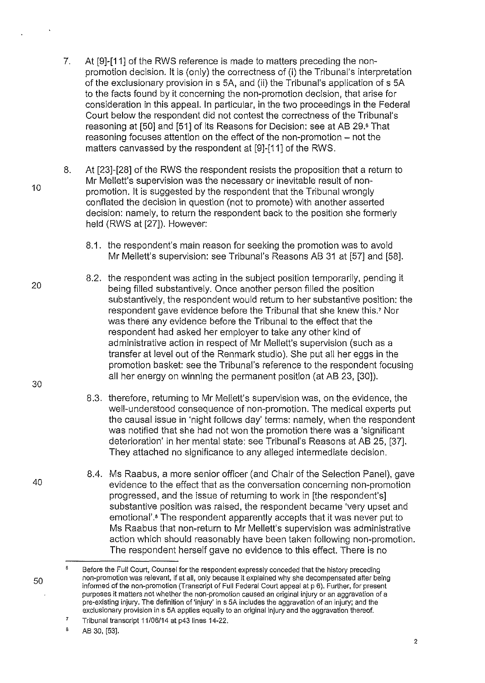- 7. At [9]-[11] of the RWS reference is made to matters preceding the nonpromotion decision. it is (only) the correctness of (i) the Tribunal's interpretation of the exclusionary provision in s 5A, and (ii) the Tribunal's application of s 5A to the facts found by it concerning the non-promotion decision, that arise for consideration in this appeal. In particular, in the two proceedings in the Federal Court below the respondent did not contest the correctness of the Tribunal's reasoning at [50] and [51] of its Reasons for Decision: see at AB 29.6 That reasoning focuses attention on the effect of the non-promotion - not the matters canvassed by the respondent at [9]-[11] of the RWS.
- 8. At [23]-[28] of the RWS the respondent resists the proposition that a return to Mr Mellett's supervision was the necessary or inevitable result of nonpromotion. lt is suggested by the respondent that the Tribunal wrongly conflated the decision in question (not to promote) with another asserted decision: namely, to return the respondent back to the position she formerly held (RWS at [27]). However:
	- 8.1. the respondent's main reason for seeking the promotion was to avoid Mr Mellett's supervision: see Tribunal's Reasons AB 31 at [57] and [58].
	- 8.2. the respondent was acting in the subject position temporarily, pending it being filled substantively. Once another person filled the position substantively, the respondent would return to her substantive position: the respondent gave evidence before the Tribunal that she knew this.' Nor was there any evidence before the Tribunal to the effect that the respondent had asked her employer to take any other kind of administrative action in respect of Mr Mellett's supervision (such as a transfer at level out of the Renmark studio). She put all her eggs in the promotion basket: see the Tribunal's reference to the respondent focusing all her energy on winning the permanent position (at AB 23, [30]).
	- 8.3. therefore, returning to Mr Mellett's supervision was, on the evidence, the well-understood consequence of non-promotion. The medical experts put the causal issue in 'night follows day' terms: namely, when the respondent was notified that she had not won the promotion there was a 'significant deterioration' in her mental state: see Tribunal's Reasons at AB 25, [37]. They attached no significance to any alleged intermediate decision.
	- 8.4. Ms Raabus, a more senior officer (and Chair of the Selection Panel), gave evidence to the effect that as the conversation concerning non-promotion progressed, and the issue of returning to work in [the respondent's] substantive position was raised, the respondent became 'very upset and emotional'.• The respondent apparently accepts that it was never put to Ms Raabus that non-return to Mr Mellett's supervision was administrative action which should reasonably have been taken following non-promotion. The respondent herself gave no evidence to this effect. There is no

8 AB 30, [53].

10

30

20

40

 $\mathbf{g}$ Before the Full Court, Counsel for the respondent expressly conceded that the history preceding non-promotion was relevant, if at all, only because it explained why she decompensated after being informed of the non-promotion (Transcript of Full Federal Court appeal at p 6). Further, for present **purposes it matters not whether the non-promotion caused an original injury or an aggravation of a**  pre-existing injury. The definition of 'injury' in s 5A includes the aggravation of an injury; and the exclusionary provision ins 5A applies equally to an original injury and the aggravation thereof.

 $\overline{7}$ Tribunal transcript 11/06/14 at p43 lines 14-22.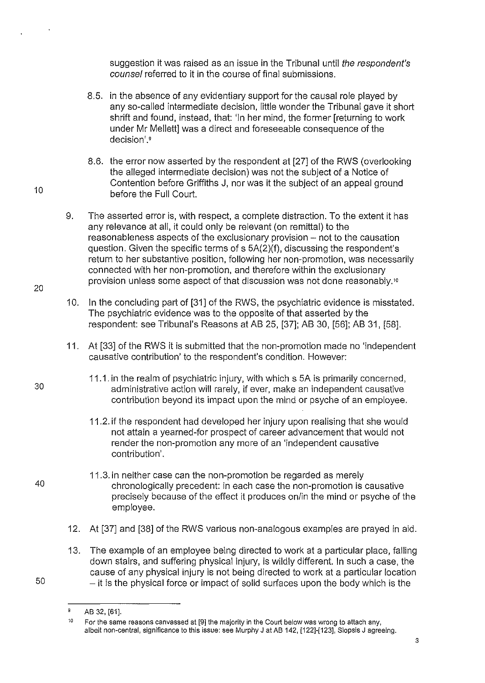suggestion it was raised as an issue in the Tribunal until the respondent's counsel referred to it in the course of final submissions.

- 8.5. in the absence of any evidentiary support for the causal role played by any so-called intermediate decision, little wonder the Tribunal gave it short shrift and found, instead, that: 'In her mind, the former [returning to work under Mr Mellett] was a direct and foreseeable consequence of the decision'.<sup>9</sup>
- 8.6. the error now asserted by the respondent at [27] of the RWS (overlooking the alleged intermediate decision) was not the subject of a Notice of Contention before Griffiths J, nor was it the subject of an appeal ground before the Full Court.
- 9. The asserted error is, with respect, a complete distraction. To the extent it has any relevance at all, it could only be relevant (on remittal) to the reasonableness aspects of the exclusionary provision – not to the causation question. Given the specific terms of s 5A(2)(f), discussing the respondent's return to her substantive position, following her non-promotion, was necessarily connected with her non-promotion, and therefore within the exclusionary provision unless some aspect of that discussion was not done reasonably."
- 10. In the concluding part of [31] of the RWS, the psychiatric evidence is misstated. The psychiatric evidence was to the opposite of that asserted by the respondent: see Tribunal's Reasons at AB 25, [37]; AB 30, [56]; AB 31, [58].
- 11. At [33] of the RWS it is submitted that the non-promotion made no 'independent causative contribution' to the respondent's condition. However:
	- 11.1. in the realm of psychiatric injury, with which s 5A is primarily concerned, administrative action will rarely, if ever, make an independent causative contribution beyond its impact upon the mind or psyche of an employee.
		- 11.2. if the respondent had developed her injury upon realising that she would not attain a yearned-for prospect of career advancement that would not render the non-promotion any more of an 'independent causative contribution'.
	- 11.3. in neither case can the non-promotion be regarded as merely chronologically precedent: in each case the non-promotion is causative precisely because of the effect it produces on/in the mind or psyche of the employee.
- 12. At [37] and [38] of the RWS various non-analogous examples are prayed in aid.
- 13. The example of an employee being directed to work at a particular place, falling down stairs, and suffering physical injury, is wildly different. In such a case, the cause of any physical injury is not being directed to work at a particular location  $50$  - it is the physical force or impact of solid surfaces upon the body which is the
	- 9 AB 32, [61].

10

 $\epsilon$ 

20

30

<sup>10</sup>  For the same reasons canvassed at [9] the majority in the Court below was wrong to attach any, albeit non-central, significance to this issue: see Murphy J at AB 142. [122]·[123], Siopsis J agreeing.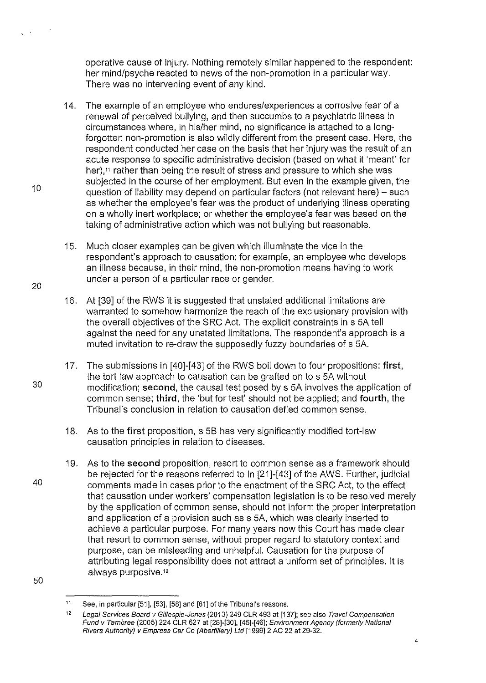operative cause of injury. Nothing remotely similar happened to the respondent: her mind/psyche reacted to news of the non-promotion in a particular way. There was no intervening event of any kind.

- 14. The example of an employee who endures/experiences a corrosive fear of a renewal of perceived bullying, and then succumbs to a psychiatric illness in circumstances where, in his/her mind, no significance is attached to a longforgotten non-promotion is also wildly different from the present case. Here, the respondent conducted her case on the basis that her injury was the result of an acute response to specific administrative decision (based on what it 'meant' for her),<sup>11</sup> rather than being the result of stress and pressure to which she was subjected in the course of her employment. But even in the example given, the question of liability may depend on particular factors (not relevant here) – such as whether the employee's fear was the product of underlying illness operating on a wholly inert workplace; or whether the employee's fear was based on the taking of administrative action which was not bullying but reasonable.
- 15. Much closer examples can be given which illuminate the vice in the respondent's approach to causation: for example, an employee who develops an illness because, in their mind, the non-promotion means having to work under a person of a particular race or gender.
- 16. At [39] of the RWS it is suggested that unstated additional limitations are warranted to somehow harmonize the reach of the exclusionary provision with the overall objectives of the SRC Act. The explicit constraints in s 5A tell against the need for any unstated limitations. The respondent's approach is a muted invitation to re-draw the supposedly fuzzy boundaries of s 5A.
- 17. The submissions in [40]-[43] of the RWS boil down to four propositions: **first,**  the tort law approach to causation can be grafted on to s 5A without modification; **second,** the causal test posed by s 5A involves the application of common sense; **third,** the 'but for test' should not be applied; and **fourth,** the Tribunal's conclusion in relation to causation defied common sense.
- 18. As to the **first** proposition, s 58 has very significantly modified tort-law causation principles **in** relation to diseases.
- 19. As to the **second** proposition, resort to common sense as a framework should be rejected for the reasons referred to in [21]-[43] of the AWS. Further, judicial comments made in cases prior to the enactment of the SRC Act, to the effect that causation under workers' compensation legislation is to be resolved merely by the application of common sense, should not inform the proper interpretation and application of a provision such as s 5A, which was clearly inserted to achieve a particular purpose. For many years now this Court has made clear that resort to common sense, without proper regard to statutory context and purpose, can be misleading and unhelpful. Causation for the purpose of attributing legal responsibility does not attract a uniform set of principles. it is always purposive. <sup>12</sup>

 $\sim$ 

20

40

30

<sup>11</sup>  See, in particular [51], [53], [58] and [61] of the Tribunal's reasons.

<sup>12</sup>  Legal Services Board v Gillespie-Jones (2013) 249 CLR 493 at [137]; see also Travel Compensation Fund v Tambree (2005) 224 CLR 627 at [28]-[30], [45]-[46]; Environment Agency (formerly National Rivers Authority) v Empress Car Go (Abertillery) Lid [1999] 2 AC 22 at 29-32.